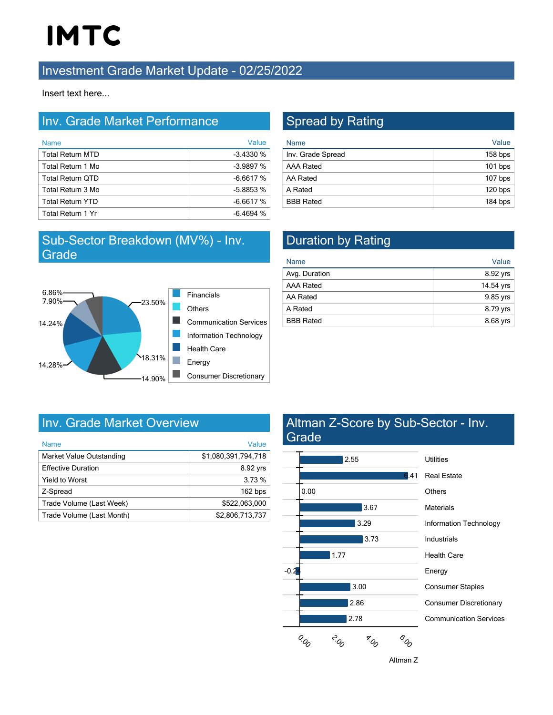# **IMTC**

### **Investment Grade Market Update - 02/25/2022**

Insert text here...

### Inv. Grade Market Performance

| <b>Name</b>             | Value      |
|-------------------------|------------|
| <b>Total Return MTD</b> | $-3.4330%$ |
| Total Return 1 Mo       | $-3.9897%$ |
| <b>Total Return QTD</b> | $-6.6617%$ |
| Total Return 3 Mo       | $-5.8853%$ |
| <b>Total Return YTD</b> | $-6.6617%$ |
| Total Return 1 Yr       | $-6.4694%$ |

### Sub-Sector Breakdown (MV%) - Inv. **Grade**



# Spread by Rating

| <b>Name</b>       | Value     |
|-------------------|-----------|
| Inv. Grade Spread | $158$ bps |
| <b>AAA Rated</b>  | $101$ bps |
| AA Rated          | $107$ bps |
| A Rated           | 120 bps   |
| <b>BBB Rated</b>  | 184 bps   |

# Duration by Rating

| <b>Name</b>      | Value     |
|------------------|-----------|
| Avg. Duration    | 8.92 yrs  |
| <b>AAA Rated</b> | 14.54 yrs |
| AA Rated         | 9.85 yrs  |
| A Rated          | 8.79 yrs  |
| <b>BBB Rated</b> | 8.68 yrs  |

## Inv. Grade Market Overview

| <b>Name</b>               | Value               |
|---------------------------|---------------------|
| Market Value Outstanding  | \$1,080,391,794,718 |
| <b>Effective Duration</b> | 8.92 yrs            |
| <b>Yield to Worst</b>     | 3.73%               |
| Z-Spread                  | 162 bps             |
| Trade Volume (Last Week)  | \$522.063.000       |
| Trade Volume (Last Month) | \$2.806.713.737     |

### Altman Z-Score by Sub-Sector - Inv. **Grade**



Altman Z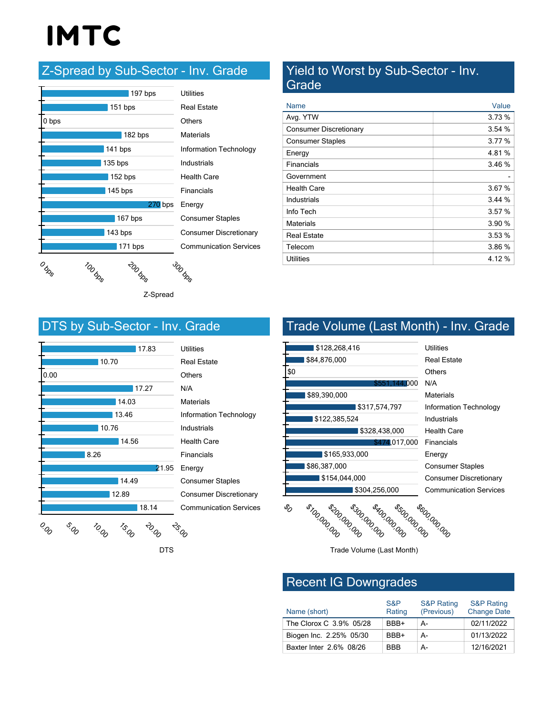# **IMTC**

# Z-Spread by Sub-Sector - Inv. Grade

|           | 197 bps            | <b>Utilities</b>              |  |
|-----------|--------------------|-------------------------------|--|
|           | $151$ bps          | <b>Real Estate</b>            |  |
| 0 bps     |                    | Others                        |  |
|           | 182 bps            | Materials                     |  |
|           | 141 bps            | Information Technology        |  |
| $135$ bps |                    | Industrials                   |  |
|           | 152 bps            | <b>Health Care</b>            |  |
| $145$ bps |                    | Financials                    |  |
| $270$ bps |                    | Energy                        |  |
| 167 bps   |                    | <b>Consumer Staples</b>       |  |
| 143 bps   |                    | <b>Consumer Discretionary</b> |  |
| 171 bps   |                    | <b>Communication Services</b> |  |
|           | TOO BRS<br>200 bss | 300 bss                       |  |

Z-Spread

DTS

#### Yield to Worst by Sub-Sector - Inv. **Grade**

| Name                          | Value  |
|-------------------------------|--------|
| Avg. YTW                      | 3.73%  |
| <b>Consumer Discretionary</b> | 3.54%  |
| <b>Consumer Staples</b>       | 3.77%  |
| Energy                        | 4.81%  |
| Financials                    | 3.46%  |
| Government                    |        |
| <b>Health Care</b>            | 3.67%  |
| Industrials                   | 3.44%  |
| Info Tech                     | 3.57%  |
| Materials                     | 3.90%  |
| <b>Real Estate</b>            | 3.53%  |
| Telecom                       | 3.86 % |
| Utilities                     | 4.12 % |

### DTS by Sub-Sector - Inv. Grade



| Utilities                     |
|-------------------------------|
| <b>Real Estate</b>            |
| Others                        |
| N/A                           |
| <b>Materials</b>              |
| <b>Information Technology</b> |
| Industrials                   |
| <b>Health Care</b>            |
| Financials                    |
| Energy                        |
| <b>Consumer Staples</b>       |
| Consumer Discretionary        |
| <b>Communication Services</b> |
|                               |

# Trade Volume (Last Month) - Inv. Grade



Trade Volume (Last Month)

### Recent IG Downgrades

| Name (short)            | S&P<br>Rating | <b>S&amp;P Rating</b><br>(Previous) | <b>S&amp;P Rating</b><br><b>Change Date</b> |
|-------------------------|---------------|-------------------------------------|---------------------------------------------|
| The Clorox C 3.9% 05/28 | BBB+          | А-                                  | 02/11/2022                                  |
| Biogen Inc. 2.25% 05/30 | BBB+          | А-                                  | 01/13/2022                                  |
| Baxter Inter 2.6% 08/26 | <b>RRR</b>    | А-                                  | 12/16/2021                                  |